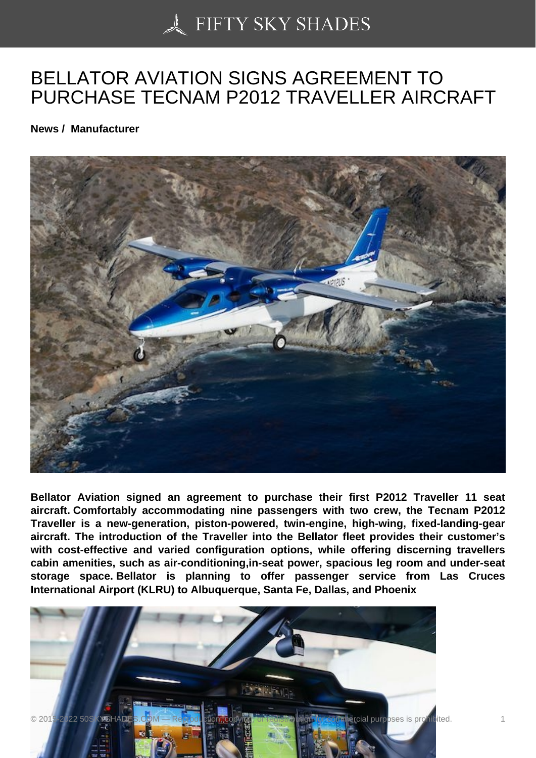## [BELLATOR AVIATION](https://50skyshades.com) SIGNS AGREEMENT TO PURCHASE TECNAM P2012 TRAVELLER AIRCRAFT

News / Manufacturer

Bellator Aviation signed an agreement to purchase their first P2012 Traveller 11 seat aircraft. Comfortably accommodating nine passengers with two crew, the Tecnam P2012 Traveller is a new-generation, piston-powered, twin-engine, high-wing, fixed-landing-gear aircraft. The introduction of the Traveller into the Bellator fleet provides their customer's with cost-effective and varied configuration options, while offering discerning travellers cabin amenities, such as air-conditioning,in-seat power, spacious leg room and under-seat storage space. Bellator is planning to offer passenger service from Las Cruces International Airport (KLRU) to Albuquerque, Santa Fe, Dallas, and Phoenix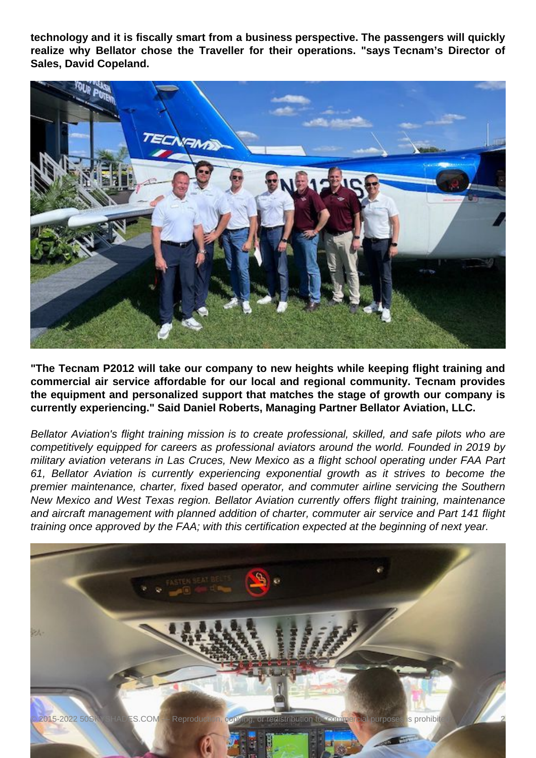**technology and it is fiscally smart from a business perspective. The passengers will quickly realize why Bellator chose the Traveller for their operations. "says Tecnam's Director of Sales, David Copeland.** 



**"The Tecnam P2012 will take our company to new heights while keeping flight training and commercial air service affordable for our local and regional community. Tecnam provides the equipment and personalized support that matches the stage of growth our company is currently experiencing." Said Daniel Roberts, Managing Partner Bellator Aviation, LLC.**

Bellator Aviation's flight training mission is to create professional, skilled, and safe pilots who are competitively equipped for careers as professional aviators around the world. Founded in 2019 by military aviation veterans in Las Cruces, New Mexico as a flight school operating under FAA Part 61, Bellator Aviation is currently experiencing exponential growth as it strives to become the premier maintenance, charter, fixed based operator, and commuter airline servicing the Southern New Mexico and West Texas region. Bellator Aviation currently offers flight training, maintenance and aircraft management with planned addition of charter, commuter air service and Part 141 flight training once approved by the FAA; with this certification expected at the beginning of next year.